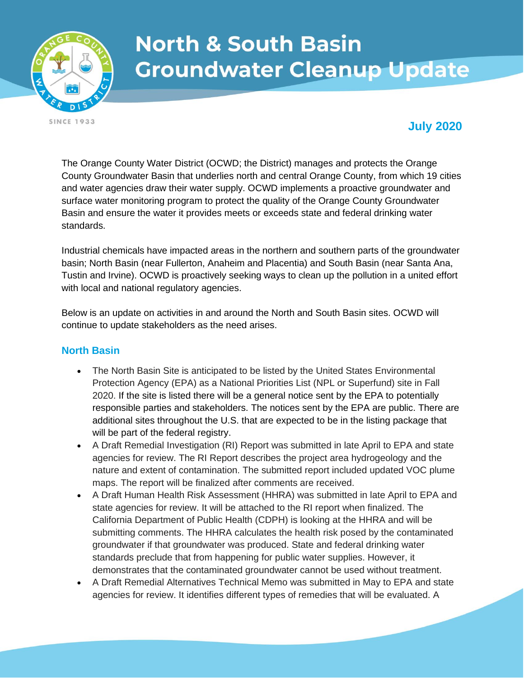

# **North & South Basin Groundwater Cleanup Update**

**SINCE 1933** 

## **July 2020**

The Orange County Water District (OCWD; the District) manages and protects the Orange County Groundwater Basin that underlies north and central Orange County, from which 19 cities and water agencies draw their water supply. OCWD implements a proactive groundwater and surface water monitoring program to protect the quality of the Orange County Groundwater Basin and ensure the water it provides meets or exceeds state and federal drinking water standards.

Industrial chemicals have impacted areas in the northern and southern parts of the groundwater basin; North Basin (near Fullerton, Anaheim and Placentia) and South Basin (near Santa Ana, Tustin and Irvine). OCWD is proactively seeking ways to clean up the pollution in a united effort with local and national regulatory agencies.

Below is an update on activities in and around the North and South Basin sites. OCWD will continue to update stakeholders as the need arises.

#### **North Basin**

- The North Basin Site is anticipated to be listed by the United States Environmental Protection Agency (EPA) as a National Priorities List (NPL or Superfund) site in Fall 2020. If the site is listed there will be a general notice sent by the EPA to potentially responsible parties and stakeholders. The notices sent by the EPA are public. There are additional sites throughout the U.S. that are expected to be in the listing package that will be part of the federal registry.
- A Draft Remedial Investigation (RI) Report was submitted in late April to EPA and state agencies for review. The RI Report describes the project area hydrogeology and the nature and extent of contamination. The submitted report included updated VOC plume maps. The report will be finalized after comments are received.
- A Draft Human Health Risk Assessment (HHRA) was submitted in late April to EPA and state agencies for review. It will be attached to the RI report when finalized. The California Department of Public Health (CDPH) is looking at the HHRA and will be submitting comments. The HHRA calculates the health risk posed by the contaminated groundwater if that groundwater was produced. State and federal drinking water standards preclude that from happening for public water supplies. However, it demonstrates that the contaminated groundwater cannot be used without treatment.
- A Draft Remedial Alternatives Technical Memo was submitted in May to EPA and state agencies for review. It identifies different types of remedies that will be evaluated. A